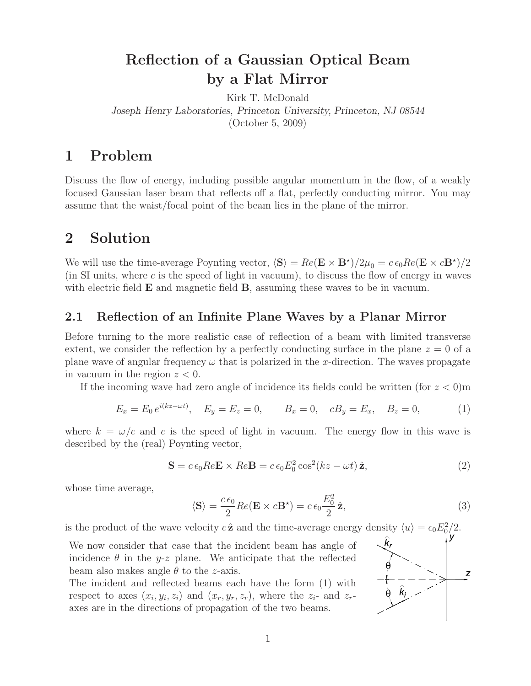## **Reflection of a Gaussian Optical Beam by a Flat Mirror**

Kirk T. McDonald *Joseph Henry Laboratories, Princeton University, Princeton, NJ 08544* (October 5, 2009)

## **1 Problem**

Discuss the flow of energy, including possible angular momentum in the flow, of a weakly focused Gaussian laser beam that reflects off a flat, perfectly conducting mirror. You may assume that the waist/focal point of the beam lies in the plane of the mirror.

### **2 Solution**

We will use the time-average Poynting vector,  $\langle S \rangle = Re(\mathbf{E} \times \mathbf{B}^*)/2\mu_0 = c \epsilon_0 Re(\mathbf{E} \times c\mathbf{B}^*)/2$ (in SI units, where c is the speed of light in vacuum), to discuss the flow of energy in waves with electric field **E** and magnetic field **B**, assuming these waves to be in vacuum.

### **2.1 Reflection of an Infinite Plane Waves by a Planar Mirror**

Before turning to the more realistic case of reflection of a beam with limited transverse extent, we consider the reflection by a perfectly conducting surface in the plane  $z = 0$  of a plane wave of angular frequency  $\omega$  that is polarized in the x-direction. The waves propagate in vacuum in the region  $z < 0$ .

If the incoming wave had zero angle of incidence its fields could be written (for  $z < 0$ )m

$$
E_x = E_0 e^{i(kz - \omega t)}, \quad E_y = E_z = 0, \qquad B_x = 0, \quad cB_y = E_x, \quad B_z = 0,
$$
 (1)

where  $k = \omega/c$  and c is the speed of light in vacuum. The energy flow in this wave is described by the (real) Poynting vector,

$$
\mathbf{S} = c \epsilon_0 Re \mathbf{E} \times Re \mathbf{B} = c \epsilon_0 E_0^2 \cos^2(kz - \omega t) \hat{\mathbf{z}}, \tag{2}
$$

whose time average,

$$
\langle \mathbf{S} \rangle = \frac{c \epsilon_0}{2} Re(\mathbf{E} \times c \mathbf{B}^*) = c \epsilon_0 \frac{E_0^2}{2} \hat{\mathbf{z}},\tag{3}
$$

is the product of the wave velocity  $c\hat{\mathbf{z}}$  and the time-average energy density  $\langle u \rangle = \epsilon_0 E_0^2/2$ .

We now consider that case that the incident beam has angle of incidence  $\theta$  in the y-z plane. We anticipate that the reflected beam also makes angle  $\theta$  to the *z*-axis.

The incident and reflected beams each have the form (1) with respect to axes  $(x_i, y_i, z_i)$  and  $(x_r, y_r, z_r)$ , where the  $z_i$ - and  $z_r$ axes are in the directions of propagation of the two beams.

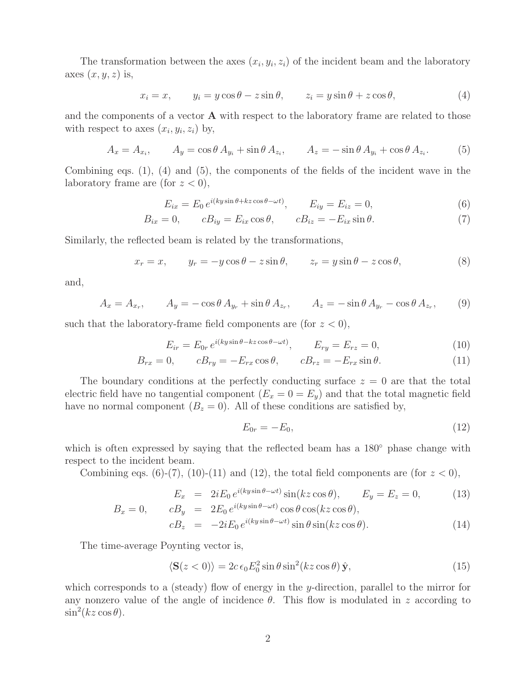The transformation between the axes  $(x_i, y_i, z_i)$  of the incident beam and the laboratory axes  $(x, y, z)$  is,

$$
x_i = x, \qquad y_i = y\cos\theta - z\sin\theta, \qquad z_i = y\sin\theta + z\cos\theta,\tag{4}
$$

and the components of a vector **A** with respect to the laboratory frame are related to those with respect to axes  $(x_i, y_i, z_i)$  by,

$$
A_x = A_{x_i}, \qquad A_y = \cos\theta \, A_{y_i} + \sin\theta \, A_{z_i}, \qquad A_z = -\sin\theta \, A_{y_i} + \cos\theta \, A_{z_i}.\tag{5}
$$

Combining eqs. (1), (4) and (5), the components of the fields of the incident wave in the laboratory frame are (for  $z < 0$ ),

$$
E_{ix} = E_0 e^{i(ky\sin\theta + kz\cos\theta - \omega t)}, \qquad E_{iy} = E_{iz} = 0,
$$
\n(6)

$$
B_{ix} = 0, \qquad cB_{iy} = E_{ix}\cos\theta, \qquad cB_{iz} = -E_{ix}\sin\theta. \tag{7}
$$

Similarly, the reflected beam is related by the transformations,

$$
x_r = x, \qquad y_r = -y\cos\theta - z\sin\theta, \qquad z_r = y\sin\theta - z\cos\theta,\tag{8}
$$

and,

$$
A_x = A_{x_r}, \qquad A_y = -\cos\theta \, A_{y_r} + \sin\theta \, A_{z_r}, \qquad A_z = -\sin\theta \, A_{y_r} - \cos\theta \, A_{z_r}, \qquad (9)
$$

such that the laboratory-frame field components are (for  $z < 0$ ),

$$
E_{ir} = E_{0r} e^{i(ky\sin\theta - kz\cos\theta - \omega t)}, \qquad E_{ry} = E_{rz} = 0,
$$
\n(10)

$$
B_{rx} = 0, \qquad cB_{ry} = -E_{rx}\cos\theta, \qquad cB_{rz} = -E_{rx}\sin\theta. \tag{11}
$$

The boundary conditions at the perfectly conducting surface  $z = 0$  are that the total electric field have no tangential component  $(E_x = 0 = E_y)$  and that the total magnetic field have no normal component  $(B_z = 0)$ . All of these conditions are satisfied by,

$$
E_{0r} = -E_0,\t\t(12)
$$

which is often expressed by saying that the reflected beam has a 180 $\degree$  phase change with respect to the incident beam.

Combining eqs. (6)-(7), (10)-(11) and (12), the total field components are (for  $z < 0$ ),

$$
E_x = 2iE_0 e^{i(ky\sin\theta - \omega t)} \sin(kz\cos\theta), \qquad E_y = E_z = 0,
$$
 (13)  

$$
B_x = 0, \qquad cB_y = 2E_0 e^{i(ky\sin\theta - \omega t)} \cos\theta \cos(kz\cos\theta),
$$

$$
cB_z = -2iE_0 e^{i(ky\sin\theta - \omega t)} \sin\theta \sin(kz\cos\theta). \tag{14}
$$

The time-average Poynting vector is,

$$
\langle \mathbf{S}(z<0) \rangle = 2c \,\epsilon_0 E_0^2 \sin \theta \sin^2(kz \cos \theta) \,\hat{\mathbf{y}},\tag{15}
$$

which corresponds to a (steady) flow of energy in the y-direction, parallel to the mirror for any nonzero value of the angle of incidence  $\theta$ . This flow is modulated in z according to  $\sin^2(kz\cos\theta).$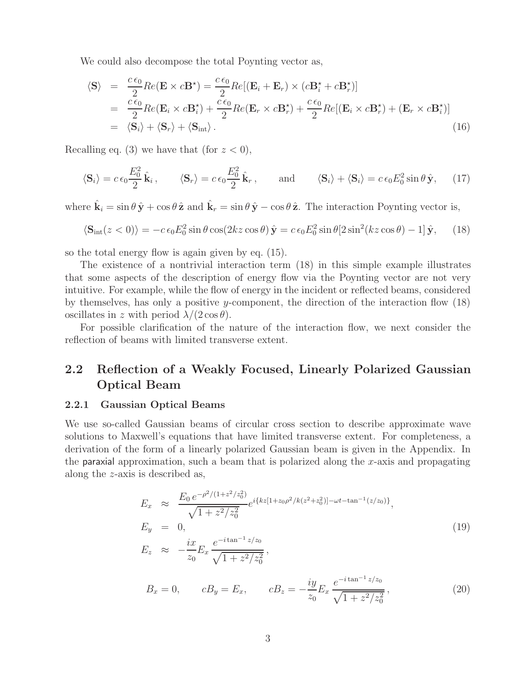We could also decompose the total Poynting vector as,

$$
\langle \mathbf{S} \rangle = \frac{c \epsilon_0}{2} Re(\mathbf{E} \times c \mathbf{B}^*) = \frac{c \epsilon_0}{2} Re[(\mathbf{E}_i + \mathbf{E}_r) \times (c \mathbf{B}_i^* + c \mathbf{B}_r^*)]
$$
  
\n
$$
= \frac{c \epsilon_0}{2} Re(\mathbf{E}_i \times c \mathbf{B}_i^*) + \frac{c \epsilon_0}{2} Re(\mathbf{E}_r \times c \mathbf{B}_r^*) + \frac{c \epsilon_0}{2} Re[(\mathbf{E}_i \times c \mathbf{B}_r^*) + (\mathbf{E}_r \times c \mathbf{B}_i^*)]
$$
  
\n
$$
= \langle \mathbf{S}_i \rangle + \langle \mathbf{S}_r \rangle + \langle \mathbf{S}_{int} \rangle . \tag{16}
$$

Recalling eq. (3) we have that (for  $z < 0$ ),

$$
\langle \mathbf{S}_i \rangle = c \epsilon_0 \frac{E_0^2}{2} \hat{\mathbf{k}}_i, \qquad \langle \mathbf{S}_r \rangle = c \epsilon_0 \frac{E_0^2}{2} \hat{\mathbf{k}}_r, \qquad \text{and} \qquad \langle \mathbf{S}_i \rangle + \langle \mathbf{S}_i \rangle = c \epsilon_0 E_0^2 \sin \theta \, \hat{\mathbf{y}}, \qquad (17)
$$

where  $\hat{\mathbf{k}}_i = \sin \theta \, \hat{\mathbf{y}} + \cos \theta \, \hat{\mathbf{z}}$  and  $\hat{\mathbf{k}}_r = \sin \theta \, \hat{\mathbf{y}} - \cos \theta \, \hat{\mathbf{z}}$ . The interaction Poynting vector is,

$$
\langle \mathbf{S}_{\rm int}(z<0) \rangle = -c \epsilon_0 E_0^2 \sin \theta \cos(2kz \cos \theta) \hat{\mathbf{y}} = c \epsilon_0 E_0^2 \sin \theta [2 \sin^2(kz \cos \theta) - 1] \hat{\mathbf{y}}, \quad (18)
$$

so the total energy flow is again given by eq. (15).

The existence of a nontrivial interaction term (18) in this simple example illustrates that some aspects of the description of energy flow via the Poynting vector are not very intuitive. For example, while the flow of energy in the incident or reflected beams, considered by themselves, has only a positive y-component, the direction of the interaction flow (18) oscillates in z with period  $\lambda/(2\cos\theta)$ .

For possible clarification of the nature of the interaction flow, we next consider the reflection of beams with limited transverse extent.

### **2.2 Reflection of a Weakly Focused, Linearly Polarized Gaussian Optical Beam**

#### **2.2.1 Gaussian Optical Beams**

We use so-called Gaussian beams of circular cross section to describe approximate wave solutions to Maxwell's equations that have limited transverse extent. For completeness, a derivation of the form of a linearly polarized Gaussian beam is given in the Appendix. In the **paraxial** approximation, such a beam that is polarized along the x-axis and propagating along the z-axis is described as,

$$
E_x \approx \frac{E_0 e^{-\rho^2/(1+z^2/z_0^2)}}{\sqrt{1+z^2/z_0^2}} e^{i\{kz[1+z_0\rho^2/k(z^2+z_0^2)] - \omega t - \tan^{-1}(z/z_0)\}},
$$
  
\n
$$
E_y = 0,
$$
  
\n
$$
E_z \approx -\frac{ix}{z_0} E_x \frac{e^{-i\tan^{-1}z/z_0}}{\sqrt{1+z^2/z_0^2}},
$$
  
\n
$$
B_x = 0,
$$
  
\n
$$
cB_y = E_x,
$$
  
\n
$$
cB_z = -\frac{iy}{z_0} E_x \frac{e^{-i\tan^{-1}z/z_0}}{\sqrt{1+z^2/z_0^2}},
$$
  
\n(20)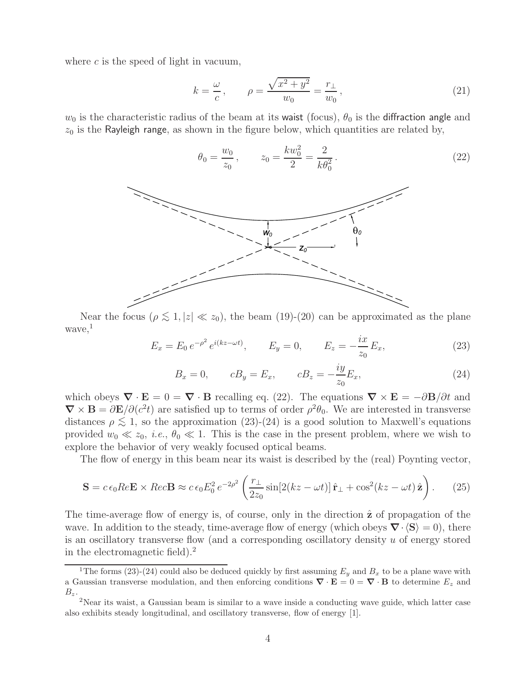where  $c$  is the speed of light in vacuum,

$$
k = \frac{\omega}{c}, \qquad \rho = \frac{\sqrt{x^2 + y^2}}{w_0} = \frac{r_{\perp}}{w_0},
$$
 (21)

 $(22)$ 

 $w_0$  is the characteristic radius of the beam at its waist (focus),  $\theta_0$  is the diffraction angle and  $z_0$  is the Rayleigh range, as shown in the figure below, which quantities are related by,



Near the focus ( $\rho \lesssim 1, |z| \ll z_0$ ), the beam (19)-(20) can be approximated as the plane  $wave,$ <sup>1</sup>

$$
E_x = E_0 e^{-\rho^2} e^{i(kz - \omega t)}, \qquad E_y = 0, \qquad E_z = -\frac{ix}{z_0} E_x,
$$
 (23)

$$
B_x = 0,
$$
  $cB_y = E_x,$   $cB_z = -\frac{iy}{z_0}E_x,$  (24)

which obeys  $\nabla \cdot \mathbf{E} = 0 = \nabla \cdot \mathbf{B}$  recalling eq. (22). The equations  $\nabla \times \mathbf{E} = -\partial \mathbf{B}/\partial t$  and  $\nabla \times \mathbf{B} = \partial \mathbf{E}/\partial (c^2 t)$  are satisfied up to terms of order  $\rho^2 \theta_0$ . We are interested in transverse distances  $\rho \lesssim 1$ , so the approximation (23)-(24) is a good solution to Maxwell's equations provided  $w_0 \ll z_0$ , *i.e.*,  $\theta_0 \ll 1$ . This is the case in the present problem, where we wish to explore the behavior of very weakly focused optical beams.

The flow of energy in this beam near its waist is described by the (real) Poynting vector,

$$
\mathbf{S} = c \epsilon_0 Re \mathbf{E} \times Re c \mathbf{B} \approx c \epsilon_0 E_0^2 e^{-2\rho^2} \left( \frac{r_\perp}{2z_0} \sin[2(kz - \omega t)] \hat{\mathbf{r}}_\perp + \cos^2(kz - \omega t) \hat{\mathbf{z}} \right). \tag{25}
$$

The time-average flow of energy is, of course, only in the direction  $\hat{z}$  of propagation of the wave. In addition to the steady, time-average flow of energy (which obeys  $\nabla \cdot \langle \mathbf{S} \rangle = 0$ ), there is an oscillatory transverse flow (and a corresponding oscillatory density  $u$  of energy stored in the electromagnetic field).<sup>2</sup>

<sup>&</sup>lt;sup>1</sup>The forms (23)-(24) could also be deduced quickly by first assuming  $E_y$  and  $B_x$  to be a plane wave with a Gaussian transverse modulation, and then enforcing conditions  $\nabla \cdot \mathbf{E} = 0 = \nabla \cdot \mathbf{B}$  to determine  $E_z$  and  $B_z$ 

<sup>&</sup>lt;sup>2</sup>Near its waist, a Gaussian beam is similar to a wave inside a conducting wave guide, which latter case also exhibits steady longitudinal, and oscillatory transverse, flow of energy [1].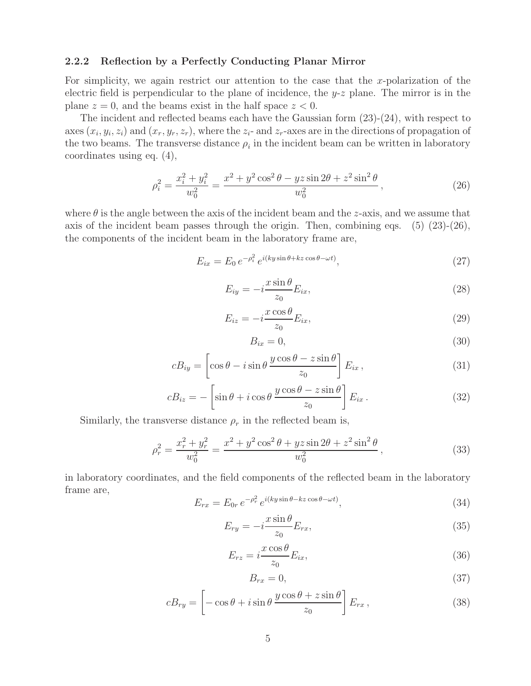#### **2.2.2 Reflection by a Perfectly Conducting Planar Mirror**

For simplicity, we again restrict our attention to the case that the x-polarization of the electric field is perpendicular to the plane of incidence, the  $y-z$  plane. The mirror is in the plane  $z = 0$ , and the beams exist in the half space  $z < 0$ .

The incident and reflected beams each have the Gaussian form (23)-(24), with respect to axes  $(x_i, y_i, z_i)$  and  $(x_r, y_r, z_r)$ , where the  $z_i$ - and  $z_r$ -axes are in the directions of propagation of the two beams. The transverse distance  $\rho_i$  in the incident beam can be written in laboratory coordinates using eq. (4),

$$
\rho_i^2 = \frac{x_i^2 + y_i^2}{w_0^2} = \frac{x^2 + y^2 \cos^2 \theta - yz \sin 2\theta + z^2 \sin^2 \theta}{w_0^2},
$$
\n(26)

where  $\theta$  is the angle between the axis of the incident beam and the z-axis, and we assume that axis of the incident beam passes through the origin. Then, combining eqs.  $(5)(23)-(26)$ , the components of the incident beam in the laboratory frame are,

$$
E_{ix} = E_0 e^{-\rho_i^2} e^{i(ky\sin\theta + kz\cos\theta - \omega t)},
$$
\n(27)

$$
E_{iy} = -i\frac{x\sin\theta}{z_0}E_{ix},\qquad(28)
$$

$$
E_{iz} = -i\frac{x\cos\theta}{z_0}E_{ix},\qquad(29)
$$

$$
B_{ix} = 0,\t\t(30)
$$

$$
cB_{iy} = \left[\cos\theta - i\sin\theta \frac{y\cos\theta - z\sin\theta}{z_0}\right] E_{ix}, \qquad (31)
$$

$$
cB_{iz} = -\left[\sin\theta + i\cos\theta \, \frac{y\cos\theta - z\sin\theta}{z_0}\right] E_{ix} \,. \tag{32}
$$

Similarly, the transverse distance  $\rho_r$  in the reflected beam is,

$$
\rho_r^2 = \frac{x_r^2 + y_r^2}{w_0^2} = \frac{x^2 + y^2 \cos^2 \theta + yz \sin 2\theta + z^2 \sin^2 \theta}{w_0^2},
$$
\n(33)

in laboratory coordinates, and the field components of the reflected beam in the laboratory frame are,

$$
E_{rx} = E_{0r} e^{-\rho_r^2} e^{i(ky\sin\theta - kz\cos\theta - \omega t)},
$$
\n(34)

$$
E_{ry} = -i\frac{x\sin\theta}{z_0}E_{rx},\tag{35}
$$

$$
E_{rz} = i\frac{x\cos\theta}{z_0}E_{ix},\tag{36}
$$

$$
B_{rx} = 0,\t\t(37)
$$

$$
cB_{ry} = \left[ -\cos\theta + i\sin\theta \, \frac{y\cos\theta + z\sin\theta}{z_0} \right] E_{rx},\tag{38}
$$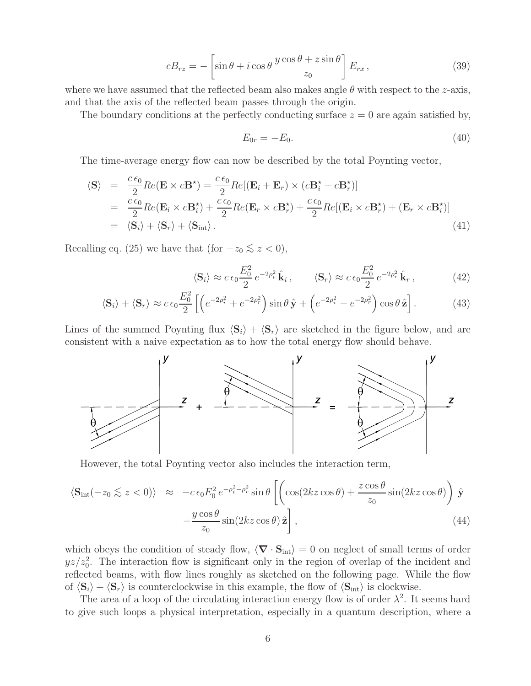$$
cB_{rz} = -\left[\sin\theta + i\cos\theta \, \frac{y\cos\theta + z\sin\theta}{z_0}\right] E_{rx},\tag{39}
$$

where we have assumed that the reflected beam also makes angle  $\theta$  with respect to the z-axis, and that the axis of the reflected beam passes through the origin.

The boundary conditions at the perfectly conducting surface  $z = 0$  are again satisfied by,

$$
E_{0r} = -E_0.
$$
\n(40)

The time-average energy flow can now be described by the total Poynting vector,

$$
\langle \mathbf{S} \rangle = \frac{c \epsilon_0}{2} Re(\mathbf{E} \times c \mathbf{B}^*) = \frac{c \epsilon_0}{2} Re[(\mathbf{E}_i + \mathbf{E}_r) \times (c \mathbf{B}_i^* + c \mathbf{B}_r^*)]
$$
  
\n
$$
= \frac{c \epsilon_0}{2} Re(\mathbf{E}_i \times c \mathbf{B}_i^*) + \frac{c \epsilon_0}{2} Re(\mathbf{E}_r \times c \mathbf{B}_r^*) + \frac{c \epsilon_0}{2} Re[(\mathbf{E}_i \times c \mathbf{B}_r^*) + (\mathbf{E}_r \times c \mathbf{B}_i^*)]
$$
  
\n
$$
= \langle \mathbf{S}_i \rangle + \langle \mathbf{S}_r \rangle + \langle \mathbf{S}_{int} \rangle. \tag{41}
$$

Recalling eq. (25) we have that (for  $-z_0 \lesssim z < 0$ ),

$$
\langle \mathbf{S}_i \rangle \approx c \,\epsilon_0 \frac{E_0^2}{2} \, e^{-2\rho_i^2} \, \hat{\mathbf{k}}_i \,, \qquad \langle \mathbf{S}_r \rangle \approx c \,\epsilon_0 \frac{E_0^2}{2} \, e^{-2\rho_r^2} \, \hat{\mathbf{k}}_r \,, \tag{42}
$$

$$
\langle \mathbf{S}_i \rangle + \langle \mathbf{S}_r \rangle \approx c \,\epsilon_0 \frac{E_0^2}{2} \left[ \left( e^{-2\rho_i^2} + e^{-2\rho_r^2} \right) \sin \theta \,\hat{\mathbf{y}} + \left( e^{-2\rho_i^2} - e^{-2\rho_r^2} \right) \cos \theta \,\hat{\mathbf{z}} \right]. \tag{43}
$$

Lines of the summed Poynting flux  $\langle S_i \rangle + \langle S_r \rangle$  are sketched in the figure below, and are consistent with a naive expectation as to how the total energy flow should behave.



However, the total Poynting vector also includes the interaction term,

$$
\langle \mathbf{S}_{\rm int}(-z_0 \lesssim z < 0) \rangle \approx -c \epsilon_0 E_0^2 e^{-\rho_i^2 - \rho_r^2} \sin \theta \left[ \left( \cos(2kz \cos \theta) + \frac{z \cos \theta}{z_0} \sin(2kz \cos \theta) \right) \hat{\mathbf{y}} + \frac{y \cos \theta}{z_0} \sin(2kz \cos \theta) \hat{\mathbf{z}} \right], \tag{44}
$$

which obeys the condition of steady flow,  $\langle \nabla \cdot \mathbf{S}_{int} \rangle = 0$  on neglect of small terms of order  $yz/z_0^2$ . The interaction flow is significant only in the region of overlap of the incident and reflected beams, with flow lines roughly as sketched on the following page. While the flow of  $\langle \mathbf{S}_i \rangle + \langle \mathbf{S}_r \rangle$  is counterclockwise in this example, the flow of  $\langle \mathbf{S}_{int} \rangle$  is clockwise.

The area of a loop of the circulating interaction energy flow is of order  $\lambda^2$ . It seems hard to give such loops a physical interpretation, especially in a quantum description, where a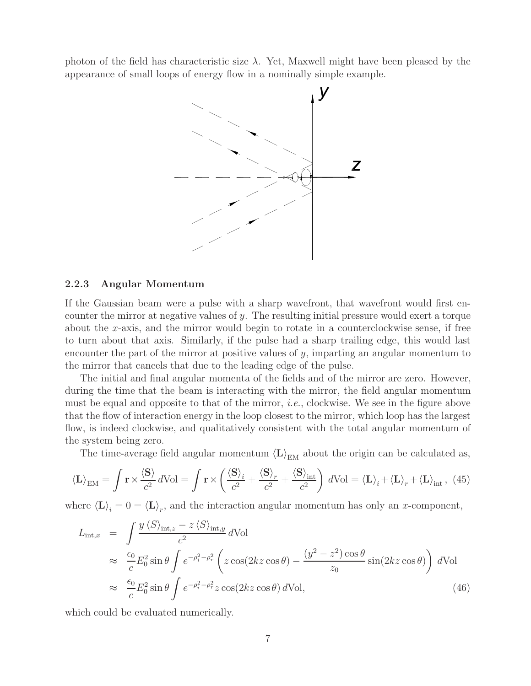photon of the field has characteristic size  $\lambda$ . Yet, Maxwell might have been pleased by the appearance of small loops of energy flow in a nominally simple example.



#### **2.2.3 Angular Momentum**

If the Gaussian beam were a pulse with a sharp wavefront, that wavefront would first encounter the mirror at negative values of y. The resulting initial pressure would exert a torque about the x-axis, and the mirror would begin to rotate in a counterclockwise sense, if free to turn about that axis. Similarly, if the pulse had a sharp trailing edge, this would last encounter the part of the mirror at positive values of  $y$ , imparting an angular momentum to the mirror that cancels that due to the leading edge of the pulse.

The initial and final angular momenta of the fields and of the mirror are zero. However, during the time that the beam is interacting with the mirror, the field angular momentum must be equal and opposite to that of the mirror, *i.e.*, clockwise. We see in the figure above that the flow of interaction energy in the loop closest to the mirror, which loop has the largest flow, is indeed clockwise, and qualitatively consistent with the total angular momentum of the system being zero.

The time-average field angular momentum  $\langle L \rangle_{\text{EM}}$  about the origin can be calculated as,

$$
\langle \mathbf{L} \rangle_{\text{EM}} = \int \mathbf{r} \times \frac{\langle \mathbf{S} \rangle}{c^2} d\text{Vol} = \int \mathbf{r} \times \left( \frac{\langle \mathbf{S} \rangle_i}{c^2} + \frac{\langle \mathbf{S} \rangle_r}{c^2} + \frac{\langle \mathbf{S} \rangle_{\text{int}}}{c^2} \right) d\text{Vol} = \langle \mathbf{L} \rangle_i + \langle \mathbf{L} \rangle_r + \langle \mathbf{L} \rangle_{\text{int}}, \tag{45}
$$

where  $\langle \mathbf{L} \rangle_i = 0 = \langle \mathbf{L} \rangle_r$ , and the interaction angular momentum has only an x-component,

$$
L_{\text{int},x} = \int \frac{y \langle S \rangle_{\text{int},z} - z \langle S \rangle_{\text{int},y}}{c^2} d\text{Vol}
$$
  
\n
$$
\approx \frac{\epsilon_0}{c} E_0^2 \sin \theta \int e^{-\rho_i^2 - \rho_r^2} \left( z \cos(2kz \cos \theta) - \frac{(y^2 - z^2) \cos \theta}{z_0} \sin(2kz \cos \theta) \right) d\text{Vol}
$$
  
\n
$$
\approx \frac{\epsilon_0}{c} E_0^2 \sin \theta \int e^{-\rho_i^2 - \rho_r^2} z \cos(2kz \cos \theta) d\text{Vol}, \tag{46}
$$

which could be evaluated numerically.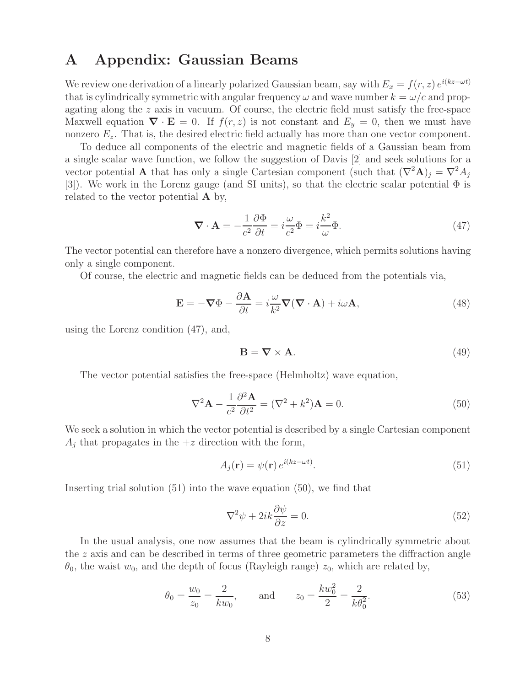### **A Appendix: Gaussian Beams**

We review one derivation of a linearly polarized Gaussian beam, say with  $E_x = f(r, z) e^{i(kz - \omega t)}$ that is cylindrically symmetric with angular frequency  $\omega$  and wave number  $k = \omega/c$  and propagating along the z axis in vacuum. Of course, the electric field must satisfy the free-space Maxwell equation  $\nabla \cdot \mathbf{E} = 0$ . If  $f(r, z)$  is not constant and  $E_y = 0$ , then we must have nonzero  $E_z$ . That is, the desired electric field actually has more than one vector component.

To deduce all components of the electric and magnetic fields of a Gaussian beam from a single scalar wave function, we follow the suggestion of Davis [2] and seek solutions for a vector potential **A** that has only a single Cartesian component (such that  $(\nabla^2 \mathbf{A})_j = \nabla^2 A_j$ [3]). We work in the Lorenz gauge (and SI units), so that the electric scalar potential  $\Phi$  is related to the vector potential **A** by,

$$
\nabla \cdot \mathbf{A} = -\frac{1}{c^2} \frac{\partial \Phi}{\partial t} = i \frac{\omega}{c^2} \Phi = i \frac{k^2}{\omega} \Phi.
$$
 (47)

The vector potential can therefore have a nonzero divergence, which permits solutions having only a single component.

Of course, the electric and magnetic fields can be deduced from the potentials via,

$$
\mathbf{E} = -\nabla\Phi - \frac{\partial \mathbf{A}}{\partial t} = i\frac{\omega}{k^2}\nabla(\nabla \cdot \mathbf{A}) + i\omega \mathbf{A},
$$
\n(48)

using the Lorenz condition (47), and,

$$
\mathbf{B} = \nabla \times \mathbf{A}.\tag{49}
$$

The vector potential satisfies the free-space (Helmholtz) wave equation,

$$
\nabla^2 \mathbf{A} - \frac{1}{c^2} \frac{\partial^2 \mathbf{A}}{\partial t^2} = (\nabla^2 + k^2) \mathbf{A} = 0.
$$
 (50)

We seek a solution in which the vector potential is described by a single Cartesian component  $A_i$  that propagates in the  $+z$  direction with the form,

$$
A_j(\mathbf{r}) = \psi(\mathbf{r}) e^{i(kz - \omega t)}.
$$
\n(51)

Inserting trial solution (51) into the wave equation (50), we find that

$$
\nabla^2 \psi + 2ik \frac{\partial \psi}{\partial z} = 0.
$$
\n(52)

In the usual analysis, one now assumes that the beam is cylindrically symmetric about the  $z$  axis and can be described in terms of three geometric parameters the diffraction angle  $\theta_0$ , the waist  $w_0$ , and the depth of focus (Rayleigh range)  $z_0$ , which are related by,

$$
\theta_0 = \frac{w_0}{z_0} = \frac{2}{kw_0},
$$
 and  $z_0 = \frac{kw_0^2}{2} = \frac{2}{k\theta_0^2}.$  (53)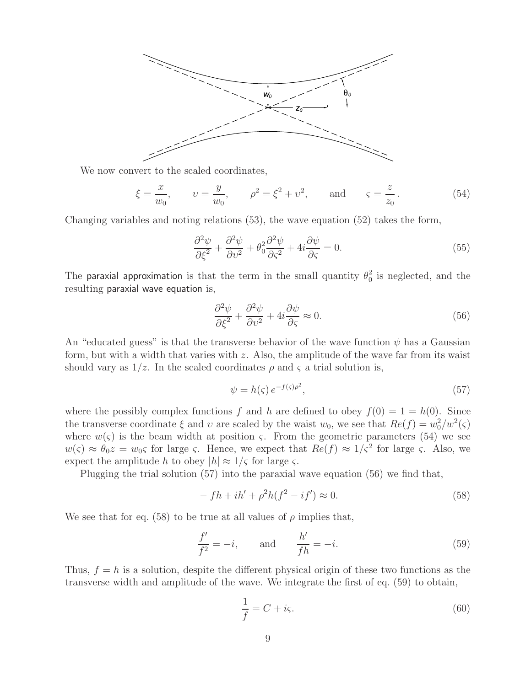

We now convert to the scaled coordinates,

$$
\xi = \frac{x}{w_0}, \qquad v = \frac{y}{w_0}, \qquad \rho^2 = \xi^2 + v^2, \qquad \text{and} \qquad \varsigma = \frac{z}{z_0}.
$$
\n(54)

Changing variables and noting relations (53), the wave equation (52) takes the form,

$$
\frac{\partial^2 \psi}{\partial \xi^2} + \frac{\partial^2 \psi}{\partial v^2} + \theta_0^2 \frac{\partial^2 \psi}{\partial \zeta^2} + 4i \frac{\partial \psi}{\partial \zeta} = 0.
$$
\n(55)

The paraxial approximation is that the term in the small quantity  $\theta_0^2$  is neglected, and the resulting paraxial wave equation is,

$$
\frac{\partial^2 \psi}{\partial \xi^2} + \frac{\partial^2 \psi}{\partial v^2} + 4i \frac{\partial \psi}{\partial \zeta} \approx 0.
$$
\n(56)

An "educated guess" is that the transverse behavior of the wave function  $\psi$  has a Gaussian form, but with a width that varies with  $z$ . Also, the amplitude of the wave far from its waist should vary as  $1/z$ . In the scaled coordinates  $\rho$  and  $\varsigma$  a trial solution is,

$$
\psi = h(\varsigma) e^{-f(\varsigma)\rho^2},\tag{57}
$$

where the possibly complex functions f and h are defined to obey  $f(0) = 1 = h(0)$ . Since the transverse coordinate  $\xi$  and  $v$  are scaled by the waist  $w_0$ , we see that  $Re(f) = w_0^2/w^2(\varsigma)$ where  $w(\varsigma)$  is the beam width at position  $\varsigma$ . From the geometric parameters (54) we see  $w(\zeta) \approx \theta_0 z = w_0 \zeta$  for large  $\zeta$ . Hence, we expect that  $Re(f) \approx 1/\zeta^2$  for large  $\zeta$ . Also, we expect the amplitude h to obey  $|h| \approx 1/\varsigma$  for large  $\varsigma$ .

Plugging the trial solution (57) into the paraxial wave equation (56) we find that,

$$
-fh + ih' + \rho^2 h(f^2 - if') \approx 0.
$$
\n
$$
(58)
$$

We see that for eq. (58) to be true at all values of  $\rho$  implies that,

$$
\frac{f'}{f^2} = -i, \qquad \text{and} \qquad \frac{h'}{fh} = -i.
$$
 (59)

Thus,  $f = h$  is a solution, despite the different physical origin of these two functions as the transverse width and amplitude of the wave. We integrate the first of eq. (59) to obtain,

$$
\frac{1}{f} = C + i\varsigma. \tag{60}
$$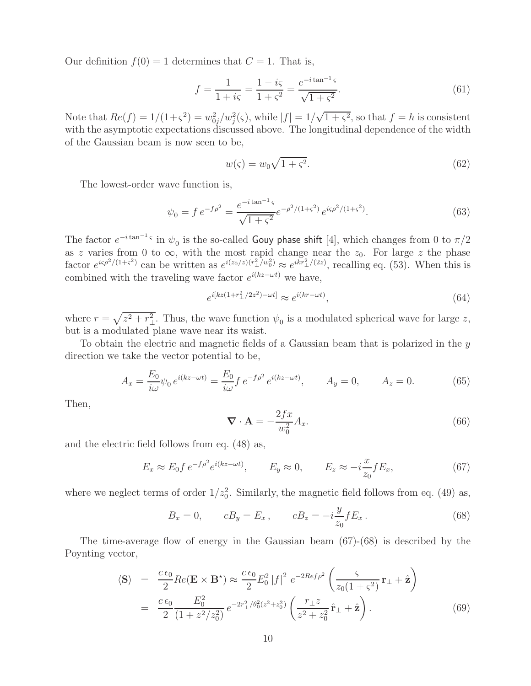Our definition  $f(0) = 1$  determines that  $C = 1$ . That is,

$$
f = \frac{1}{1 + i\varsigma} = \frac{1 - i\varsigma}{1 + \varsigma^2} = \frac{e^{-i\tan^{-1}\varsigma}}{\sqrt{1 + \varsigma^2}}.
$$
(61)

Note that  $Re(f) = 1/(1+\varsigma^2) = w_{0j}^2/w_j^2(\varsigma)$ , while  $|f| = 1/\sqrt{1+\varsigma^2}$ , so that  $f = h$  is consistent with the asymptotic expectations discussed above. The longitudinal dependence of the width of the Gaussian beam is now seen to be,

$$
w(\varsigma) = w_0 \sqrt{1 + \varsigma^2}.\tag{62}
$$

The lowest-order wave function is,

$$
\psi_0 = f e^{-f\rho^2} = \frac{e^{-i\tan^{-1}\varsigma}}{\sqrt{1+\varsigma^2}} e^{-\rho^2/(1+\varsigma^2)} e^{i\varsigma\rho^2/(1+\varsigma^2)}.
$$
\n(63)

The factor  $e^{-i \tan^{-1} \varsigma}$  in  $\psi_0$  is the so-called Gouy phase shift [4], which changes from 0 to  $\pi/2$ as z varies from 0 to  $\infty$ , with the most rapid change near the  $z_0$ . For large z the phase factor  $e^{i\varsigma\rho^2/(1+\varsigma^2)}$  can be written as  $e^{i(z_0/z)(r_\perp^2/w_0^2)} \approx e^{ikr_\perp^2/(2z)}$ , recalling eq. (53). When this is combined with the traveling wave factor  $e^{i(kz-\omega t)}$  we have,

$$
e^{i[kz(1+r_\perp^2/2z^2)-\omega t]} \approx e^{i(kr-\omega t)},\tag{64}
$$

where  $r = \sqrt{z^2 + r_\perp^2}$ . Thus, the wave function  $\psi_0$  is a modulated spherical wave for large z, but is a modulated plane wave near its waist.

To obtain the electric and magnetic fields of a Gaussian beam that is polarized in the  $\eta$ direction we take the vector potential to be,

$$
A_x = \frac{E_0}{i\omega} \psi_0 e^{i(kz - \omega t)} = \frac{E_0}{i\omega} f e^{-f\rho^2} e^{i(kz - \omega t)}, \qquad A_y = 0, \qquad A_z = 0.
$$
 (65)

Then,

$$
\nabla \cdot \mathbf{A} = -\frac{2fx}{w_0^2} A_x.
$$
 (66)

and the electric field follows from eq. (48) as,

$$
E_x \approx E_0 f e^{-f\rho^2} e^{i(kz - \omega t)}, \qquad E_y \approx 0, \qquad E_z \approx -i\frac{x}{z_0} f E_x,\tag{67}
$$

where we neglect terms of order  $1/z_0^2$ . Similarly, the magnetic field follows from eq. (49) as,

$$
B_x = 0,
$$
  $cB_y = E_x,$   $cB_z = -i\frac{y}{z_0}fE_x.$  (68)

The time-average flow of energy in the Gaussian beam (67)-(68) is described by the Poynting vector,

$$
\langle \mathbf{S} \rangle = \frac{c \epsilon_0}{2} Re(\mathbf{E} \times \mathbf{B}^*) \approx \frac{c \epsilon_0}{2} E_0^2 |f|^2 e^{-2Ref\rho^2} \left( \frac{\varsigma}{z_0 (1 + \varsigma^2)} \mathbf{r}_\perp + \hat{\mathbf{z}} \right)
$$
  
= 
$$
\frac{c \epsilon_0}{2} \frac{E_0^2}{(1 + z^2/z_0^2)} e^{-2r_\perp^2/\theta_0^2 (z^2 + z_0^2)} \left( \frac{r_\perp z}{z^2 + z_0^2} \hat{\mathbf{r}}_\perp + \hat{\mathbf{z}} \right).
$$
 (69)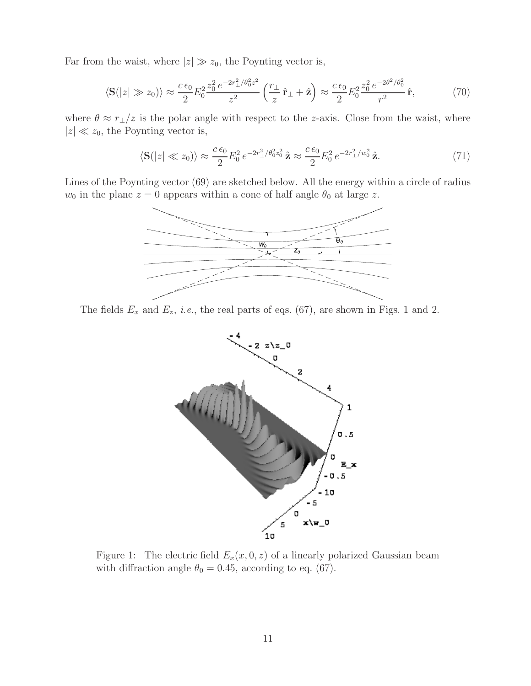Far from the waist, where  $|z| \gg z_0$ , the Poynting vector is,

$$
\langle \mathbf{S}(|z| \gg z_0) \rangle \approx \frac{c \,\epsilon_0}{2} E_0^2 \frac{z_0^2 e^{-2r_\perp^2/\theta_0^2 z^2}}{z^2} \left(\frac{r_\perp}{z} \hat{\mathbf{r}}_\perp + \hat{\mathbf{z}}\right) \approx \frac{c \,\epsilon_0}{2} E_0^2 \frac{z_0^2 e^{-2\theta^2/\theta_0^2}}{r^2} \hat{\mathbf{r}},\tag{70}
$$

where  $\theta \approx r_{\perp}/z$  is the polar angle with respect to the z-axis. Close from the waist, where  $|z| \ll z_0$ , the Poynting vector is,

$$
\langle \mathbf{S}(|z| \ll z_0) \rangle \approx \frac{c \epsilon_0}{2} E_0^2 e^{-2r_\perp^2/\theta_0^2 z_0^2} \hat{\mathbf{z}} \approx \frac{c \epsilon_0}{2} E_0^2 e^{-2r_\perp^2/w_0^2} \hat{\mathbf{z}}.
$$
 (71)

Lines of the Poynting vector (69) are sketched below. All the energy within a circle of radius  $w_0$  in the plane  $z = 0$  appears within a cone of half angle  $\theta_0$  at large z.



The fields  $E_x$  and  $E_z$ , *i.e.*, the real parts of eqs. (67), are shown in Figs. 1 and 2.



Figure 1: The electric field  $E_x(x, 0, z)$  of a linearly polarized Gaussian beam with diffraction angle  $\theta_0 = 0.45$ , according to eq. (67).